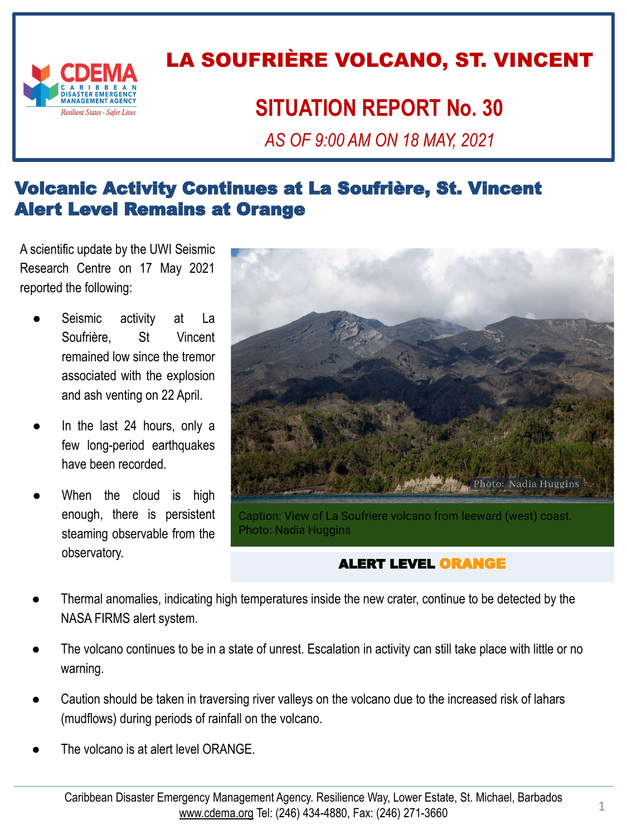

## LA SOUFRIÈRE VOLCANO, ST. VINCENT

## **SITUATION REPORT No. 30**

*AS OF 9:00 AM ON 18 MAY, 2021*

#### Volcanic Activity Continues at La Soufrière, St. Vincent Alert Level Remains at Orange

A scientific update by the UWI Seismic Research Centre on 17 May 2021 reported the following:

- Seismic activity at La Soufrière, St Vincent remained low since the tremor associated with the explosion and ash venting on 22 April.
- In the last 24 hours, only a few long-period earthquakes have been recorded.
- When the cloud is high enough, there is persistent steaming observable from the observatory.



Caption: View of La Soufriere volcano from leeward (west) coast. Photo: Nadia Huggins

#### ALERT LEVEL ORANGE

- Thermal anomalies, indicating high temperatures inside the new crater, continue to be detected by the NASA FIRMS alert system.
- The volcano continues to be in a state of unrest. Escalation in activity can still take place with little or no warning.
- Caution should be taken in traversing river valleys on the volcano due to the increased risk of lahars (mudflows) during periods of rainfall on the volcano.
- The volcano is at alert level ORANGE.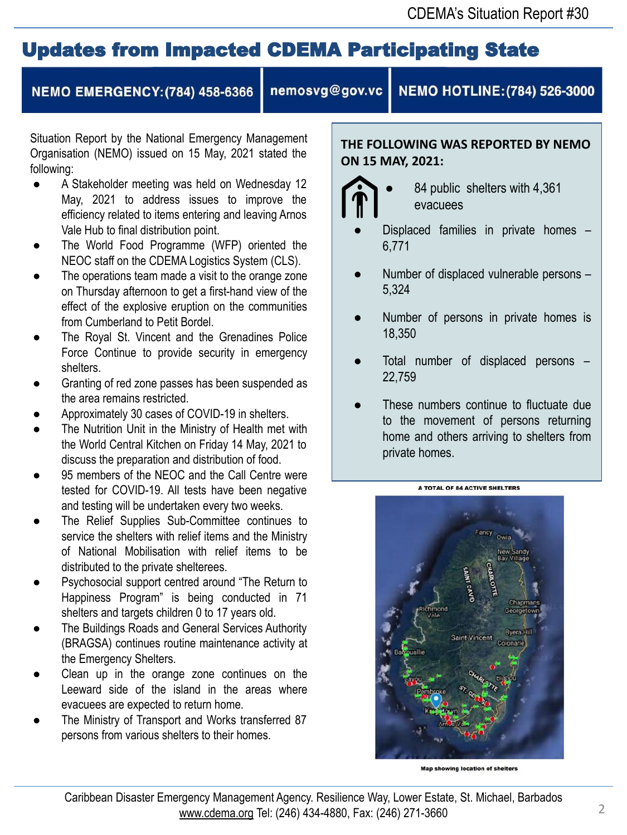## Updates from Impacted CDEMA Participating State

#### **NEMO EMERGENCY: (784) 458-6366**

nemosvg@gov.vc

NEMO HOTLINE: (784) 526-3000

Situation Report by the National Emergency Management Organisation (NEMO) issued on 15 May, 2021 stated the following:

- A Stakeholder meeting was held on Wednesday 12 May, 2021 to address issues to improve the efficiency related to items entering and leaving Arnos Vale Hub to final distribution point.
- The World Food Programme (WFP) oriented the NEOC staff on the CDEMA Logistics System (CLS).
- The operations team made a visit to the orange zone on Thursday afternoon to get a first-hand view of the effect of the explosive eruption on the communities from Cumberland to Petit Bordel.
- The Royal St. Vincent and the Grenadines Police Force Continue to provide security in emergency shelters.
- Granting of red zone passes has been suspended as the area remains restricted.
- Approximately 30 cases of COVID-19 in shelters.
- The Nutrition Unit in the Ministry of Health met with the World Central Kitchen on Friday 14 May, 2021 to discuss the preparation and distribution of food.
- 95 members of the NEOC and the Call Centre were tested for COVID-19. All tests have been negative and testing will be undertaken every two weeks.
- The Relief Supplies Sub-Committee continues to service the shelters with relief items and the Ministry of National Mobilisation with relief items to be distributed to the private shelterees.
- Psychosocial support centred around "The Return to Happiness Program" is being conducted in 71 shelters and targets children 0 to 17 years old.
- The Buildings Roads and General Services Authority (BRAGSA) continues routine maintenance activity at the Emergency Shelters.
- Clean up in the orange zone continues on the Leeward side of the island in the areas where evacuees are expected to return home.
- The Ministry of Transport and Works transferred 87 persons from various shelters to their homes.

**THE FOLLOWING WAS REPORTED BY NEMO ON 15 MAY, 2021:**



84 public shelters with 4,361 evacuees

- Displaced families in private homes -6,771
- Number of displaced vulnerable persons -5,324
- Number of persons in private homes is 18,350
- Total number of displaced persons 22,759
- These numbers continue to fluctuate due to the movement of persons returning home and others arriving to shelters from private homes.



A TOTAL OF 84 ACTIVE SHELTERS

Map showing location of shelters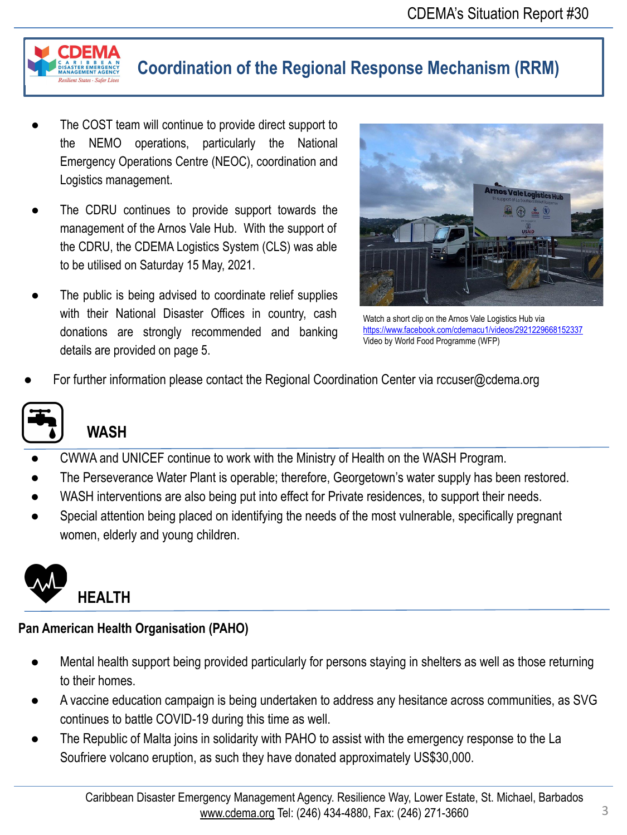

### **Coordination of the Regional Response Mechanism (RRM)**

- The COST team will continue to provide direct support to the NEMO operations, particularly the National Emergency Operations Centre (NEOC), coordination and Logistics management.
- The CDRU continues to provide support towards the management of the Arnos Vale Hub. With the support of the CDRU, the CDEMA Logistics System (CLS) was able to be utilised on Saturday 15 May, 2021.
- The public is being advised to coordinate relief supplies with their National Disaster Offices in country, cash donations are strongly recommended and banking details are provided on page 5.



Watch a short clip on the Arnos Vale Logistics Hub via <https://www.facebook.com/cdemacu1/videos/2921229668152337> Video by World Food Programme (WFP)

For further information please contact the Regional Coordination Center via rccuser@cdema.org



## **WASH**

- CWWA and UNICEF continue to work with the Ministry of Health on the WASH Program.
- The Perseverance Water Plant is operable; therefore, Georgetown's water supply has been restored.
- WASH interventions are also being put into effect for Private residences, to support their needs.
- Special attention being placed on identifying the needs of the most vulnerable, specifically pregnant women, elderly and young children.



#### **Pan American Health Organisation (PAHO)**

- Mental health support being provided particularly for persons staying in shelters as well as those returning to their homes.
- A vaccine education campaign is being undertaken to address any hesitance across communities, as SVG continues to battle COVID-19 during this time as well.
- The Republic of Malta joins in solidarity with PAHO to assist with the emergency response to the La Soufriere volcano eruption, as such they have donated approximately US\$30,000.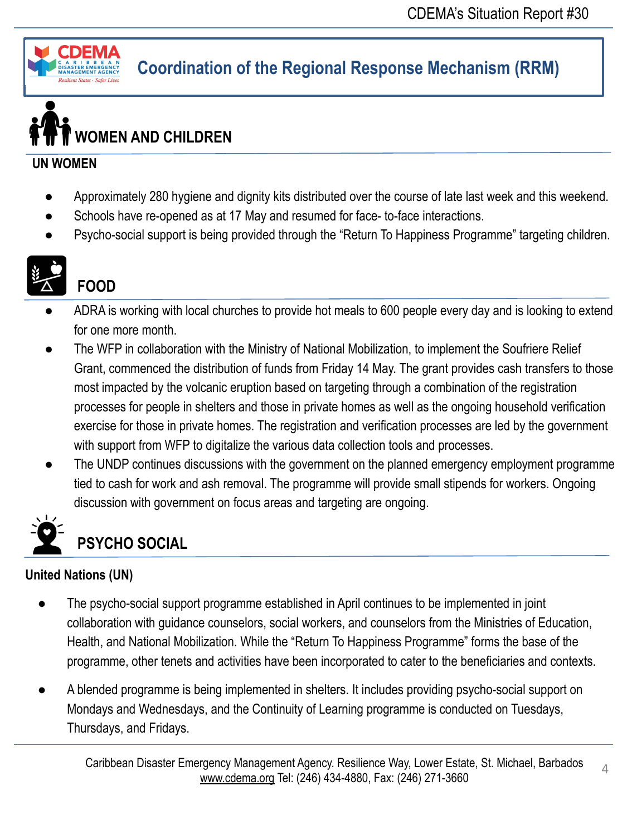

## **Coordination of the Regional Response Mechanism (RRM)**

# **WOMEN AND CHILDREN**

#### **UN WOMEN**

- Approximately 280 hygiene and dignity kits distributed over the course of late last week and this weekend.
- Schools have re-opened as at 17 May and resumed for face- to-face interactions.
- Psycho-social support is being provided through the "Return To Happiness Programme" targeting children.



## **FOOD**

- ADRA is working with local churches to provide hot meals to 600 people every day and is looking to extend for one more month.
- The WFP in collaboration with the Ministry of National Mobilization, to implement the Soufriere Relief Grant, commenced the distribution of funds from Friday 14 May. The grant provides cash transfers to those most impacted by the volcanic eruption based on targeting through a combination of the registration processes for people in shelters and those in private homes as well as the ongoing household verification exercise for those in private homes. The registration and verification processes are led by the government with support from WFP to digitalize the various data collection tools and processes.
- The UNDP continues discussions with the government on the planned emergency employment programme tied to cash for work and ash removal. The programme will provide small stipends for workers. Ongoing discussion with government on focus areas and targeting are ongoing.



## **PSYCHO SOCIAL**

#### **United Nations (UN)**

- The psycho-social support programme established in April continues to be implemented in joint collaboration with guidance counselors, social workers, and counselors from the Ministries of Education, Health, and National Mobilization. While the "Return To Happiness Programme" forms the base of the programme, other tenets and activities have been incorporated to cater to the beneficiaries and contexts.
- A blended programme is being implemented in shelters. It includes providing psycho-social support on Mondays and Wednesdays, and the Continuity of Learning programme is conducted on Tuesdays, Thursdays, and Fridays.